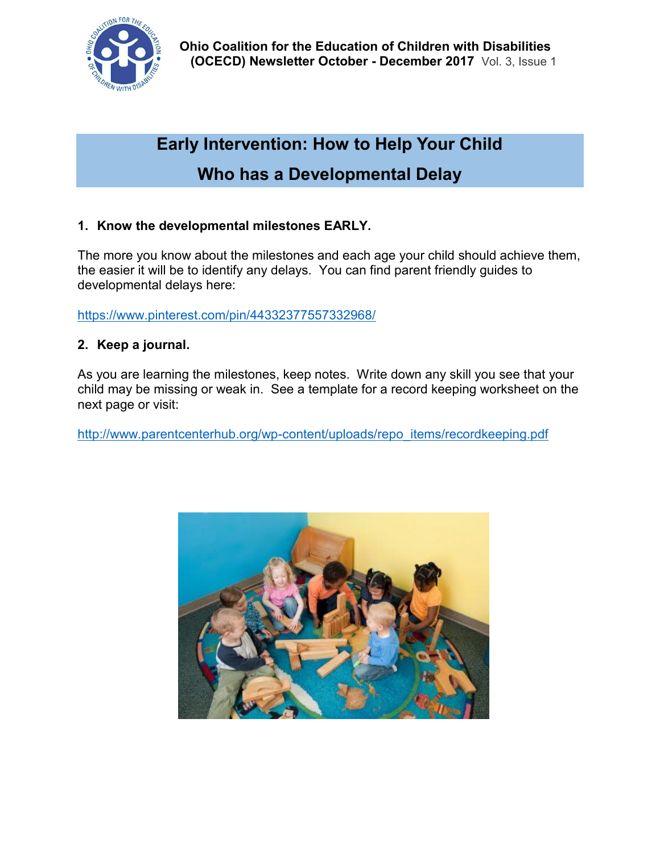

# **Early Intervention: How to Help Your Child Who has a Developmental Delay**

## **1. Know the developmental milestones EARLY.**

The more you know about the milestones and each age your child should achieve them, the easier it will be to identify any delays. You can find parent friendly guides to developmental delays here:

<https://www.pinterest.com/pin/44332377557332968/>

## **2. Keep a journal.**

As you are learning the milestones, keep notes. Write down any skill you see that your child may be missing or weak in. See a template for a record keeping worksheet on the next page or visit:

[http://www.parentcenterhub.org/wp-content/uploads/repo\\_items/recordkeeping.pdf](http://www.parentcenterhub.org/wp-content/uploads/repo_items/recordkeeping.pdf)

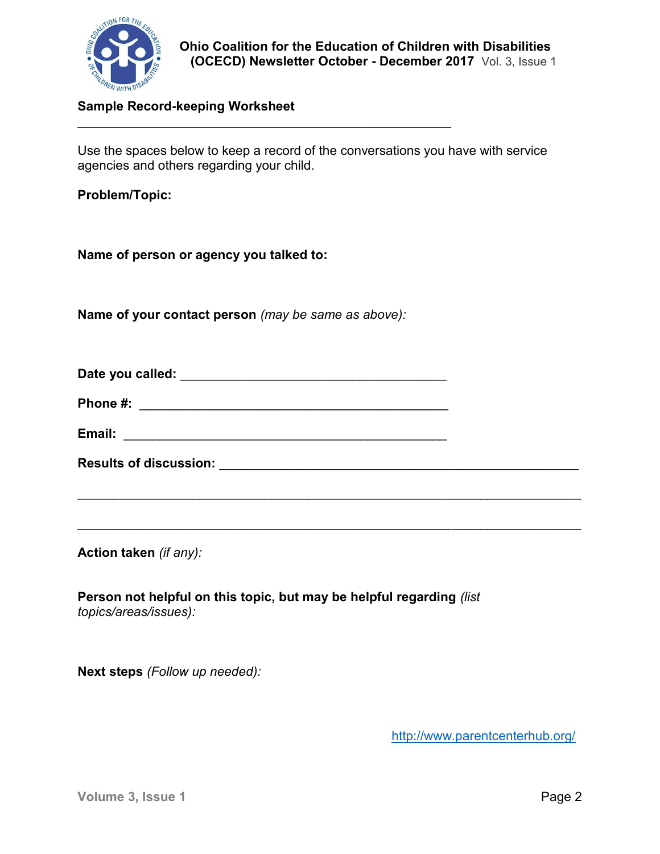

### **Sample Record-keeping Worksheet**

Use the spaces below to keep a record of the conversations you have with service agencies and others regarding your child.

**Problem/Topic:**

**Name of person or agency you talked to:**

**Name of your contact person** *(may be same as above):*

| Date you called: |  |
|------------------|--|
| Phone #:         |  |

 $\mathcal{L}_\text{max}$  and  $\mathcal{L}_\text{max}$  and  $\mathcal{L}_\text{max}$  and  $\mathcal{L}_\text{max}$  and  $\mathcal{L}_\text{max}$ 

| Email:<br>______ |  |
|------------------|--|
|                  |  |
|                  |  |

| <b>Results of discussion:</b> |  |
|-------------------------------|--|
|                               |  |

 $\_$ 

 $\mathcal{L}_\text{max} = \frac{1}{2} \sum_{i=1}^n \mathcal{L}_\text{max} \left[ \mathcal{L}_\text{max} \left( \mathcal{L}_\text{max} \right) - \mathcal{L}_\text{max} \left( \mathcal{L}_\text{max} \right) \right]$ 

**Action taken** *(if any):*

**Person not helpful on this topic, but may be helpful regarding** *(list topics/areas/issues):*

**Next steps** *(Follow up needed):*

<http://www.parentcenterhub.org/>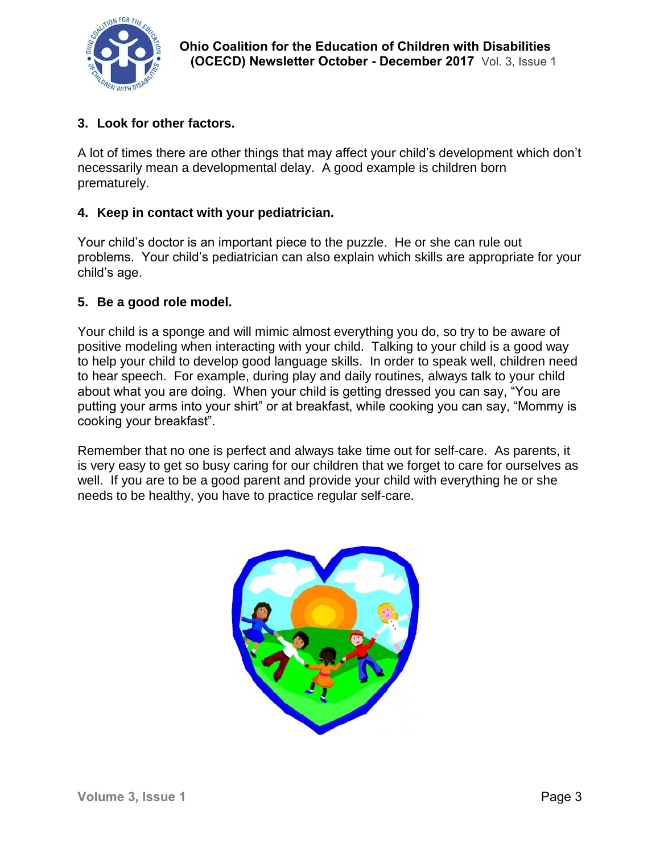

## **3. Look for other factors.**

A lot of times there are other things that may affect your child's development which don't necessarily mean a developmental delay. A good example is children born prematurely.

## **4. Keep in contact with your pediatrician.**

Your child's doctor is an important piece to the puzzle. He or she can rule out problems. Your child's pediatrician can also explain which skills are appropriate for your child's age.

## **5. Be a good role model.**

Your child is a sponge and will mimic almost everything you do, so try to be aware of positive modeling when interacting with your child. Talking to your child is a good way to help your child to develop good language skills. In order to speak well, children need to hear speech. For example, during play and daily routines, always talk to your child about what you are doing. When your child is getting dressed you can say, "You are putting your arms into your shirt" or at breakfast, while cooking you can say, "Mommy is cooking your breakfast".

Remember that no one is perfect and always take time out for self-care. As parents, it is very easy to get so busy caring for our children that we forget to care for ourselves as well. If you are to be a good parent and provide your child with everything he or she needs to be healthy, you have to practice regular self-care.

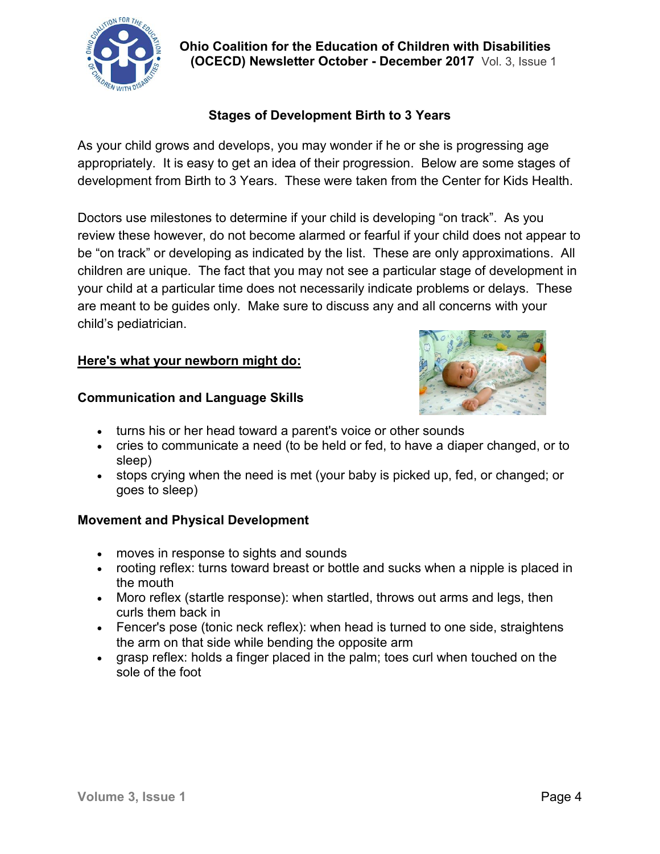

 **Ohio Coalition for the Education of Children with Disabilities (OCECD) Newsletter October - December 2017** Vol. 3, Issue 1

## **Stages of Development Birth to 3 Years**

As your child grows and develops, you may wonder if he or she is progressing age appropriately. It is easy to get an idea of their progression. Below are some stages of development from Birth to 3 Years. These were taken from the Center for Kids Health.

Doctors use milestones to determine if your child is developing "on track". As you review these however, do not become alarmed or fearful if your child does not appear to be "on track" or developing as indicated by the list. These are only approximations. All children are unique. The fact that you may not see a particular stage of development in your child at a particular time does not necessarily indicate problems or delays. These are meant to be guides only. Make sure to discuss any and all concerns with your child's pediatrician.

### **Here's what your newborn might do:**



#### **Communication and Language Skills**

- turns his or her head toward a parent's voice or other sounds
- cries to communicate a need (to be held or fed, to have a [diaper changed,](http://kidshealth.org/en/parents/diapering.html) or to sleep)
- stops crying when the need is met (your baby is picked up, fed, or changed; or goes to [sleep\)](http://kidshealth.org/en/parents/sleepnewborn.html)

## **Movement and Physical Development**

- moves in response to sights and sounds
- rooting reflex: turns toward breast or bottle and sucks when a nipple is placed in the mouth
- Moro reflex (startle response): when startled, throws out arms and legs, then curls them back in
- Fencer's pose (tonic neck reflex): when head is turned to one side, straightens the arm on that side while bending the opposite arm
- grasp reflex: holds a finger placed in the palm; toes curl when touched on the sole of the foot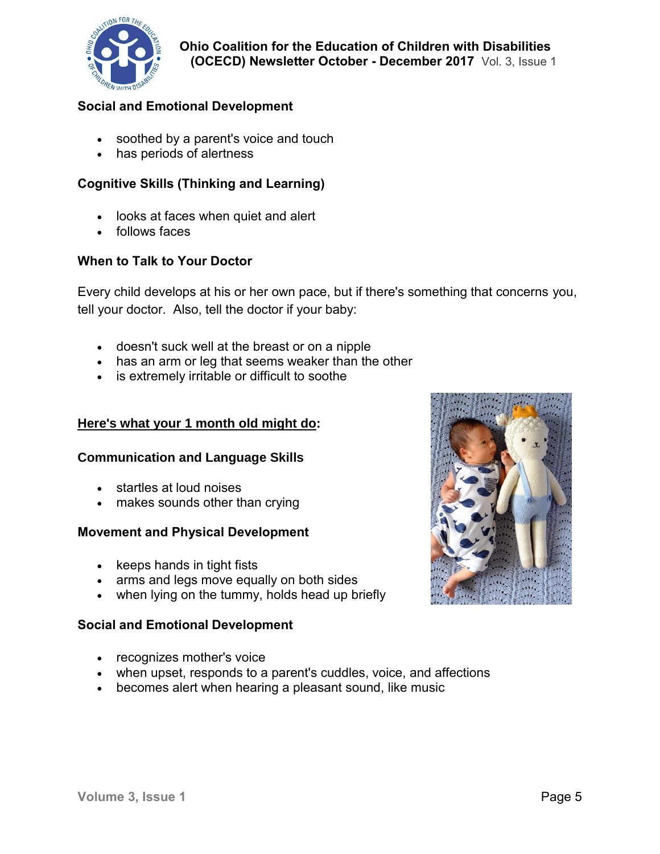

## **Social and Emotional Development**

- soothed by a parent's voice and touch
- has periods of alertness

## **Cognitive Skills (Thinking and Learning)**

- looks at faces when quiet and alert
- follows faces

### **When to Talk to Your Doctor**

Every child develops at his or her own pace, but if there's something that concerns you, tell your doctor. Also, tell the doctor if your baby:

- doesn't suck well at the breast or on a nipple
- has an arm or leg that seems weaker than the other
- is extremely irritable or difficult to soothe

#### **Here's what your 1 month old might do:**

#### **Communication and Language Skills**

- startles at loud noises
- makes sounds other than crying

#### **Movement and Physical Development**

- keeps hands in tight fists
- arms and legs move equally on both sides
- when lying on the tummy, holds head up briefly

#### **Social and Emotional Development**

- recognizes mother's voice
- when upset, responds to a parent's cuddles, voice, and affections
- becomes alert when hearing a pleasant sound, like music

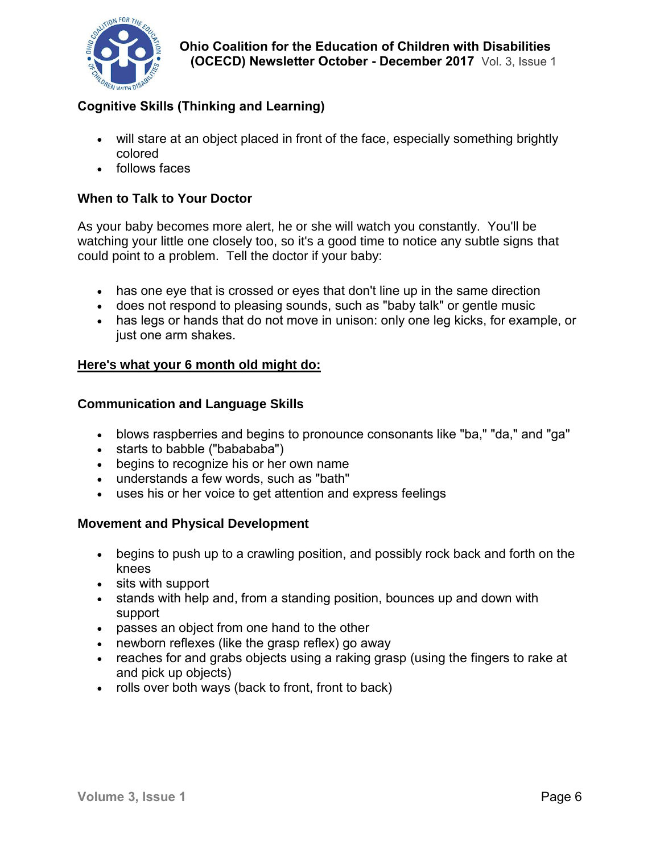

## **Cognitive Skills (Thinking and Learning)**

- will stare at an object placed in front of the face, especially something brightly colored
- follows faces

### **When to Talk to Your Doctor**

As your baby becomes more alert, he or she will watch you constantly. You'll be watching your little one closely too, so it's a good time to notice any subtle signs that could point to a problem. Tell the doctor if your baby:

- has one eye that is crossed or eyes that don't line up in the same direction
- does not respond to pleasing sounds, such as "baby talk" or gentle music
- has legs or hands that do not move in unison: only one leg kicks, for example, or just one arm shakes.

#### **Here's what your 6 month old might do:**

### **Communication and Language Skills**

- blows raspberries and begins to pronounce consonants like "ba," "da," and "ga"
- starts to babble ("babababa")
- begins to recognize his or her own name
- understands a few words, such as "bath"
- uses his or her voice to get attention and express feelings

#### **Movement and Physical Development**

- begins to push up to a crawling position, and possibly rock back and forth on the knees
- sits with support
- stands with help and, from a standing position, bounces up and down with support
- passes an object from one hand to the other
- newborn reflexes (like the grasp reflex) go away
- reaches for and grabs objects using a raking grasp (using the fingers to rake at and pick up objects)
- rolls over both ways (back to front, front to back)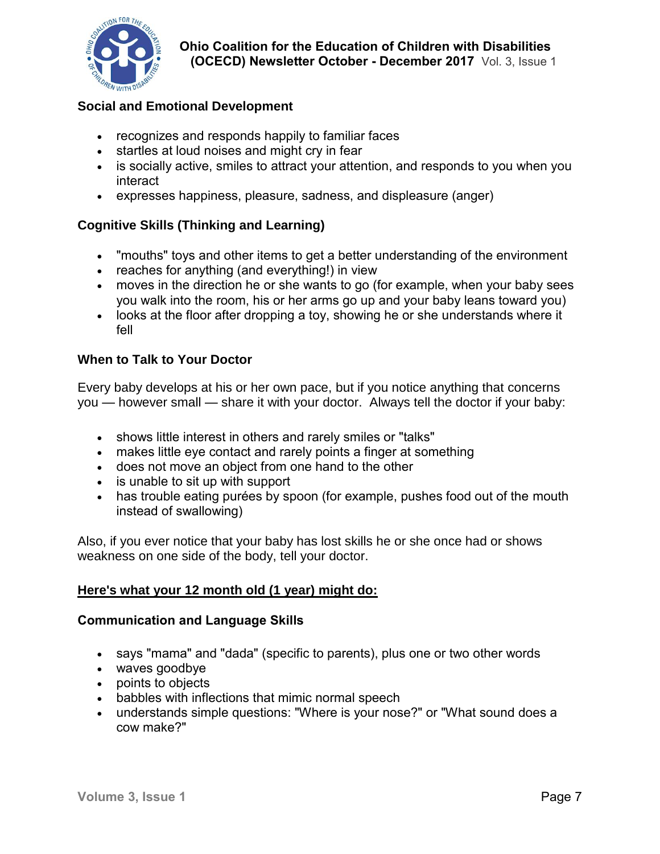

## **Social and Emotional Development**

- recognizes and responds happily to familiar faces
- startles at loud noises and might cry in fear
- is socially active, smiles to attract your attention, and responds to you when you interact
- expresses happiness, pleasure, sadness, and displeasure (anger)

## **Cognitive Skills (Thinking and Learning)**

- "mouths" toys and other items to get a better understanding of the environment
- reaches for anything (and everything!) in view
- moves in the direction he or she wants to go (for example, when your baby sees you walk into the room, his or her arms go up and your baby leans toward you)
- looks at the floor after dropping a toy, showing he or she understands where it fell

#### **When to Talk to Your Doctor**

Every baby develops at his or her own pace, but if you notice anything that concerns you — however small — share it with your doctor. Always tell the doctor if your baby:

- shows little interest in others and rarely smiles or "talks"
- makes little eye contact and rarely points a finger at something
- does not move an object from one hand to the other
- is unable to sit up with support
- has trouble eating purées by spoon (for example, pushes food out of the mouth instead of swallowing)

Also, if you ever notice that your baby has lost skills he or she once had or shows weakness on one side of the body, tell your doctor.

#### **Here's what your 12 month old (1 year) might do:**

#### **Communication and Language Skills**

- says "mama" and "dada" (specific to parents), plus one or two other words
- waves goodbye
- points to objects
- babbles with inflections that mimic normal speech
- understands simple questions: "Where is your nose?" or "What sound does a cow make?"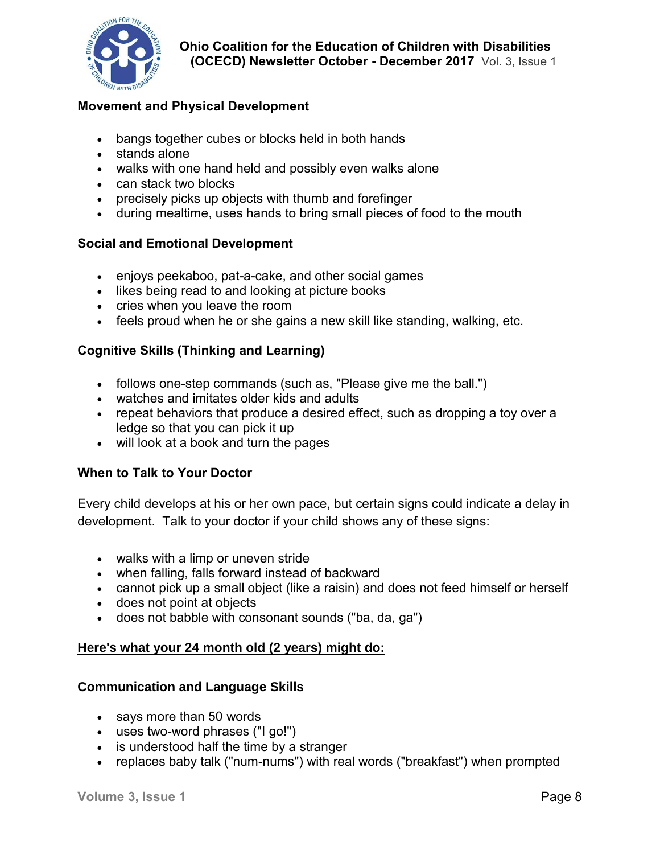

## **Movement and Physical Development**

- bangs together cubes or blocks held in both hands
- stands alone
- walks with one hand held and possibly even walks alone
- can stack two blocks
- precisely picks up objects with thumb and forefinger
- during mealtime, uses hands to bring small pieces of food to the mouth

### **Social and Emotional Development**

- enjoys peekaboo, pat-a-cake, and other [social games](http://kidshealth.org/en/parents/toddler-games.html)
- likes being [read to](http://kidshealth.org/en/parents/reading-toddler.html) and looking at picture books
- cries when you leave the room
- feels proud when he or she gains a new skill like standing, walking, etc.

### **Cognitive Skills (Thinking and Learning)**

- follows one-step commands (such as, "Please give me the ball.")
- watches and imitates older kids and adults
- repeat behaviors that produce a desired effect, such as dropping a toy over a ledge so that you can pick it up
- will look at a book and turn the pages

#### **When to Talk to Your Doctor**

Every child develops at his or her own pace, but certain signs could indicate a delay in development. Talk to your doctor if your child shows any of these signs:

- walks with a limp or uneven stride
- when falling, falls forward instead of backward
- cannot pick up a small object (like a raisin) and does not feed himself or herself
- does not point at objects
- does not babble with consonant sounds ("ba, da, ga")

#### **Here's what your 24 month old (2 years) might do:**

#### **Communication and Language Skills**

- says more than 50 words
- uses two-word phrases ("I go!")
- is understood half the time by a stranger
- replaces baby talk ("num-nums") with real words ("breakfast") when prompted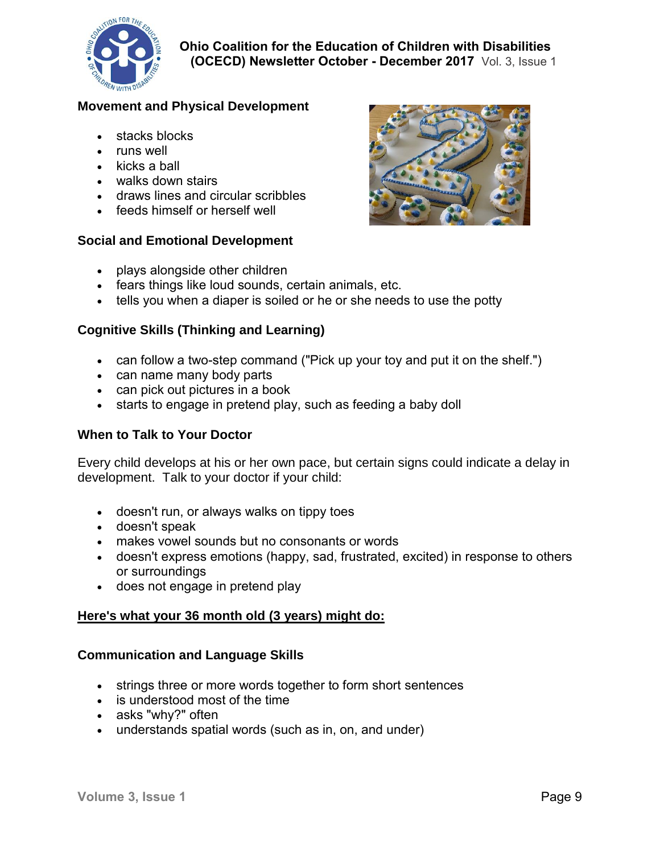

## **Movement and Physical Development**

- stacks blocks
- runs well
- kicks a ball
- walks down stairs
- draws lines and circular scribbles
- feeds himself or herself well

### **Social and Emotional Development**



- plays alongside other children
- fears things like loud sounds, certain animals, etc.
- tells you when a diaper is soiled or he or she needs to use the potty

### **Cognitive Skills (Thinking and Learning)**

- can follow a two-step command ("Pick up your toy and put it on the shelf.")
- can name many body parts
- can pick out pictures in a book
- starts to engage in pretend play, such as feeding a baby doll

#### **When to Talk to Your Doctor**

Every child develops at his or her own pace, but certain signs could indicate a delay in development. Talk to your doctor if your child:

- doesn't run, or always walks on tippy toes
- doesn't speak
- makes vowel sounds but no consonants or words
- doesn't express emotions (happy, sad, frustrated, excited) in response to others or surroundings
- does not engage in pretend play

## **Here's what your 36 month old (3 years) might do:**

#### **Communication and Language Skills**

- strings three or more words together to form short sentences
- is understood most of the time
- asks "why?" often
- understands spatial words (such as in, on, and under)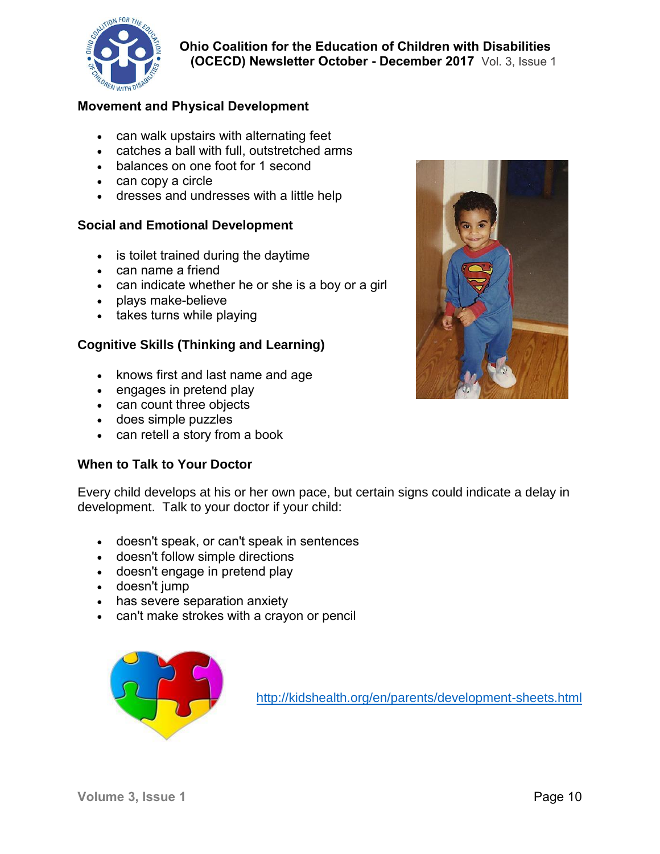

## **Movement and Physical Development**

- can walk upstairs with alternating feet
- catches a ball with full, outstretched arms
- balances on one foot for 1 second
- can copy a circle
- dresses and undresses with a little help

#### **Social and Emotional Development**

- is [toilet trained](http://kidshealth.org/en/parents/toilet-teaching.html) during the daytime
- can name a friend
- can indicate whether he or she is a boy or a girl
- plays make-believe
- takes turns while playing

### **Cognitive Skills (Thinking and Learning)**

- knows first and last name and age
- engages in pretend play
- can count three objects
- does simple puzzles
- can retell a story from a book

#### **When to Talk to Your Doctor**

Every child develops at his or her own pace, but certain signs could indicate a delay in development. Talk to your doctor if your child:

- doesn't speak, or can't speak in sentences
- doesn't follow simple directions
- doesn't engage in pretend play
- doesn't jump
- has severe [separation anxiety](http://kidshealth.org/en/parents/sep-anxiety.html)
- can't make strokes with a crayon or pencil



<http://kidshealth.org/en/parents/development-sheets.html>